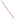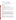# **Technical Factsheet on: THALLIUM**

[List of Contaminants](http://www.epa.gov/safewater/hfacts.html) 

 As part of the Drinking Water and Health pages, this fact sheet is part of a larger publication: **National Primary Drinking Water Regulations** 

## **Drinking Water Standards**

 MCL: 0.002 mg/l MCLG: 0.0005 mg/l HAL(child): 1- to 10-day: 0.007 mg/L; Longer-term: 0.007 mg/L

## **Health Effects Summary**

 Acute: EPA has found thallium to potentially cause the following health effects from acute exposures at levels above the MCL: gastrointestinal irritation; peripheral neuropathy.

Short-term exposures considered "safe" for a 10-kg (22 lb.) child consuming one liter of water per day: upto a 7-year exposure to 0.007 mg/L.

 levels above the MCL: changes in blood chemistry; damage to liver, kidney, intestinal and testicular Chronic: Thallium has the potential to cause the following health effects from long-term exposures at tissues; hair loss.

 drinking water. Cancer: There is no evidence that thallium has the potential to cause cancer from lifetime exposures in

### **Usage Patterns**

 There is no domestic production of thallium. Approximately 4,500 lbs. of thallium and its compounds were imported in 1987. In 1984, US industry consumed thallium compounds as follows: electronics industry, 60-70%; the remainder was used in pharmaceuticals, alloys and glass manufacture.

 was also formerly used as a depilating agent by dermatologists and as a cosmetic depilatory cream. Thallium compounds are used in infrared spectrometers, in crystals, in other optical systems, and for coloring glass; in semiconductor research; with mercury for switches and closures which operate at subzero temperatures; in photoelectric cells, lamps, and, in electronics, in scintillation counters; as catalyst in organic synthesis; as a rat poison, as an ant bait, and as a reagent in analytical chemistry. It

## **Release Patterns**

In nature, thallium is present as a trace compound in many minerals, mainly associated with potassium and rubidium.

Man-made sources of thallium pollution are gaseous emission of cement factories, coal burning power plants, and metal sewers. The leaching of thallium from ore processing operations is the major source of elevated thallium concentrations in water. Thallium is a trace metal associated with copper, gold, zinc, and cadmium.

Water concentrations of 1 to 88 parts per billion have been reported in rivers draining metal mining areas.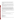From 1987 to 1993, according to the Toxics Release Inventory thallium releases to land and water totalled over 5,000 lbs., of which about half was to water. These releases were primarily from copper smelting and petroleum refining industries. The largest releases occurred in Texas and Ohio.

### **Environmental Fate**

 In a study of thallium movement in a simple aquatic ecosystem, concentrations of thallium decrease slowly in the water and increase tenfold in the vegetation and fish. Definite transport of thallium occurred among water, fish, and vegetation, but no transport was seen between the sand other ecosystem components.

 produced extensive thallium-humic acid interaction. It appears that thallium-organic interactions may be It was found that increasing pH decreased thallium-inorganic interactions. Increases in pH, however, important in most natural water systems.

solution. In reducing environments, thallous species may precipitate as a sulfide; otherwise, it will remain in

Thallium sulfate has been used as a rodenticide in Japan, where it was sprayed over forest areas, but was not found to persist in water for more than a month. Since thallium is soluble in most aquatic systems, it is readily available to aquatic organisms and is quickly bioaccumulated. Goldfish have a higher rate of uptake for thallium than for the five most common alkali metals. Some algae are able to concentrate thallium by a factor of 127 to 220 within one hour; in comparison, the concentration factors of 2.7 hours exposure were 114 for lead, 30 for cadmium, 80 for zinc, and 313 for copper.

Bioconcentration factors: in freshwater fish, factor of 100,000; in marine invertebrates, factor of 150,000; in marine fish, factor of 100,000; in freshwater and marine plants, factor of 100,000; in clams (Mya arenia), factor of 17.6-18.6; in mussel (Mytilus edulis), factor of 10.9-12.4; and in Atlantic salmon, factor of 27-1430.

### **Chemical/Physical Properties**

CAS Number: 7440-28-0 (metal)

Color/ Form/Odor: Thallium is a metallic element that exists in nature only in as salts and other combined forms.

Soil sorption coefficient: N/A; strongly adsorbed to some clays at alkaline pH.

Bioconcentration Factor: Log BCFs = 5 to 5.2 in fish, invertebrates; expected to bioconcentrate

Solubilities:

 oxide- insoluble sulfate- 48.7 g/L at 20 deg C acetate very soluble carbonate- 4% (w/w) cold water chloride- 2.9 g/L at 15.5 deg C nitrate- 39.1 g/L to 95.5 g/L at 20 deg C

Common Ores: Thallium is a trace metal associated with potassium in copper, gold, zinc, and cadmium ores.